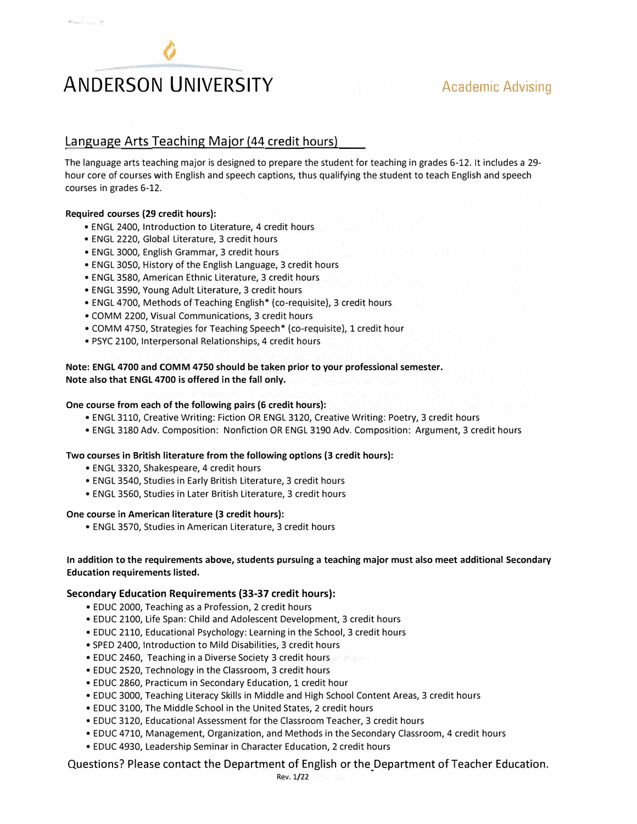# **ANDERSON UNIVERSITY**

## Academic Advising

## Language Arts Teaching Major (44 credit hours)

The language arts teaching major is designed to prepare the student for teaching in grades 6-12. It includes a 29 hour core of courses with English and speech captions, thus qualifying the student to teach English and speech courses in grades 6-12.

#### **Required courses (29 credit hours):**

- ENGL 2400, Introduction to Literature, 4 credit hours
- ENGL 2220, Global Literature, 3 credit hours
- ENGL 3000, English Grammar, 3 credit hours
- ENGL 3050, History of the English Language, 3 credit hours
- ENGL 3580, American Ethnic Literature, 3 credit hours
- ENGL 3590, Young Adult Literature, 3 credit hours
- ENGL 4700, Methods of Teaching English\* (co-requisite), 3 credit hours
- COMM 2200, Visual Communications, 3 credit hours
- COMM 4750, Strategies for Teaching Speech\* (co-requisite), 1 credit hour
- PSYC 2100, Interpersonal Relationships, 4 credit hours

#### **Note: ENGL 4700 and COMM 4750 should be taken prior to your professional semester. Note also that ENGL 4700 is offered in the fall only.**

#### **One course from each of the following pairs (6 credit hours):**

- ENGL 3110, Creative Writing: Fiction OR ENGL 3120, Creative Writing: Poetry, 3 credit hours
- ENGL 3180 Adv. Composition: Nonfiction OR ENGL 3190 Adv. Composition: Argument, 3 credit hours

#### **Two courses in British literature from the following options (3 credit hours):**

- ENGL 3320, Shakespeare, 4 credit hours
- ENGL 3540, Studies in Early British Literature, 3 credit hours
- ENGL 3560, Studies in Later British Literature, 3 credit hours

#### **One course in American literature (3 credit hours):**

• ENGL 3570, Studies in American Literature, 3 credit hours

#### **In addition to the requirements above, students pursuing a teaching major must also meet additional Secondary Education requirements listed.**

#### **Secondary Education Requirements (33-37 credit hours):**

- EDUC 2000, Teaching as a Profession, 2 credit hours
- EDUC 2100, Life Span: Child and Adolescent Development, 3 credit hours
- EDUC 2110, Educational Psychology: Learning in the School, 3 credit hours
- SPED 2400, Introduction to Mild Disabilities, 3 credit hours
- EDUC 2460, Teaching in a Diverse Society 3 credit hours
- EDUC 2520, Technology in the Classroom, 3 credit hours
- EDUC 2860, Practicum in Secondary Education, 1 credit hour
- EDUC 3000, Teaching Literacy Skills in Middle and High School Content Areas, 3 credit hours
- EDUC 3100, The Middle School in the United States, 2 credit hours
- EDUC 3120, Educational Assessment for the Classroom Teacher, 3 credit hours
- EDUC 4710, Management, Organization, and Methods in the Secondary Classroom, 4 credit hours
- EDUC 4930, Leadership Seminar in Character Education, 2 credit hours

Questions? Please contact the Department of English or the\_Department of Teacher Education.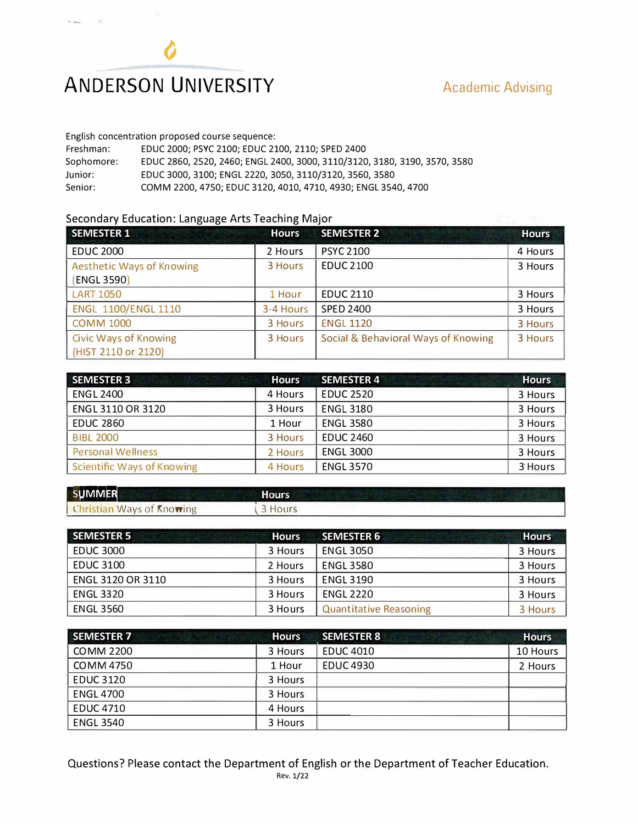# � **ANDERSON UNIVERSITY** Academic Advising

### English concentration proposed course sequence:

| Freshman:  | EDUC 2000: PSYC 2100: EDUC 2100, 2110: SPED 2400                          |
|------------|---------------------------------------------------------------------------|
| Sophomore: | EDUC 2860, 2520, 2460; ENGL 2400, 3000, 3110/3120, 3180, 3190, 3570, 3580 |
| Junior:    | EDUC 3000, 3100; ENGL 2220, 3050, 3110/3120, 3560, 3580                   |
| Senior:    | COMM 2200, 4750; EDUC 3120, 4010, 4710, 4930; ENGL 3540, 4700             |

### Secondary Education: Language Arts Teaching Major

| <b>SEMESTER 1</b>                | <b>Hours</b> | <b>SEMESTER 2</b>                   | <b>Hours</b> |
|----------------------------------|--------------|-------------------------------------|--------------|
| <b>EDUC 2000</b>                 | 2 Hours      | <b>PSYC 2100</b>                    | 4 Hours      |
| <b>Aesthetic Ways of Knowing</b> | 3 Hours      | <b>EDUC 2100</b>                    | 3 Hours      |
| (ENGL 3590)                      |              |                                     |              |
| <b>LART 1050</b>                 | 1 Hour       | <b>EDUC 2110</b>                    | 3 Hours      |
| <b>ENGL 1100/ENGL 1110</b>       | 3-4 Hours    | <b>SPED 2400</b>                    | 3 Hours      |
| <b>COMM 1000</b>                 | 3 Hours      | <b>ENGL 1120</b>                    | 3 Hours      |
| <b>Civic Ways of Knowing</b>     | 3 Hours      | Social & Behavioral Ways of Knowing | 3 Hours      |
| (HIST 2110 or 2120)              |              |                                     |              |

| <b>SEMESTER 3</b>                 | <b>Hours</b> | <b>SEMESTER 4</b> | <b>Hours</b> |
|-----------------------------------|--------------|-------------------|--------------|
| <b>ENGL 2400</b>                  | 4 Hours      | <b>EDUC 2520</b>  | 3 Hours      |
| ENGL 3110 OR 3120                 | 3 Hours      | <b>ENGL 3180</b>  | 3 Hours      |
| <b>EDUC 2860</b>                  | 1 Hour       | <b>ENGL 3580</b>  | 3 Hours      |
| BIBI 2000                         | 3 Hours      | <b>EDUC 2460</b>  | 3 Hours      |
| <b>Personal Wellness</b>          | 2 Hours      | <b>ENGL 3000</b>  | 3 Hours      |
| <b>Scientific Ways of Knowing</b> | 4 Hours      | <b>ENGL 3570</b>  | 3 Hours      |

| <b>SUMMER</b>                    | Hours |
|----------------------------------|-------|
| <b>Christian Ways of Knowing</b> | Hours |

| <b>SEMESTER 5</b>        | <b>Hours</b> | <b>SEMESTER 6</b>             | <b>Hours</b> |
|--------------------------|--------------|-------------------------------|--------------|
| <b>EDUC 3000</b>         | 3 Hours      | <b>ENGL 3050</b>              | 3 Hours      |
| <b>EDUC 3100</b>         | 2 Hours      | <b>ENGL 3580</b>              | 3 Hours      |
| <b>ENGL 3120 OR 3110</b> | 3 Hours      | <b>ENGL 3190</b>              | 3 Hours      |
| <b>ENGL 3320</b>         | 3 Hours      | <b>ENGL 2220</b>              | 3 Hours      |
| <b>ENGL 3560</b>         | 3 Hours      | <b>Quantitative Reasoning</b> | 3 Hours      |

| <b>SEMESTER 7</b> | <b>Hours</b> | <b>SEMESTER 8</b> | <b>Hours</b> |
|-------------------|--------------|-------------------|--------------|
| <b>COMM 2200</b>  | 3 Hours      | <b>EDUC 4010</b>  | 10 Hours     |
| <b>COMM 4750</b>  | 1 Hour       | <b>EDUC 4930</b>  | 2 Hours      |
| <b>EDUC 3120</b>  | 3 Hours      |                   |              |
| <b>ENGL 4700</b>  | 3 Hours      |                   |              |
| <b>EDUC 4710</b>  | 4 Hours      |                   |              |
| <b>ENGL 3540</b>  | 3 Hours      |                   |              |

Questions? Please contact the Department of English or the Department of Teacher Education. Rev. 1/22